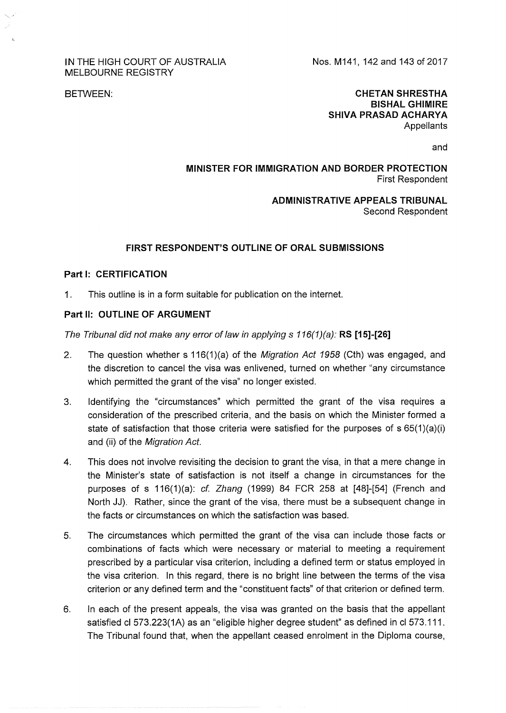#### IN THE HIGH COURT OF AUSTRALIA MELBOURNE REGISTRY

Nos. M141, 142 and 143 of 2017

BETWEEN:

#### **CHETAN SHRESTHA BISHAL GHIMIRE SHIVA PRASAD ACHARYA Appellants**

and

## **MINISTER FOR IMMIGRATION AND BORDER PROTECTION**  First Respondent

### **ADMINISTRATIVE APPEALS TRIBUNAL**  Second Respondent

## **FIRST RESPONDENT'S OUTLINE OF ORAL SUBMISSIONS**

### **Part 1: CERTIFICATION**

1. This outline is in a form suitable for publication on the internet.

## Part II: OUTLINE OF ARGUMENT

The Tribunal did not make any error of law in applying s 116(1 )(a): **RS [15]-[26]** 

- 2. The question whether s 116(1)(a) of the Migration Act 1958 (Cth) was engaged, and the discretion to cancel the visa was enlivened, turned on whether "any circumstance which permitted the grant of the visa" no longer existed.
- 3. Identifying the "circumstances" which permitted the grant of the visa requires a consideration of the prescribed criteria, and the basis on which the Minister formed a state of satisfaction that those criteria were satisfied for the purposes of s 65(1)(a)(i) and (ii) of the Migration Act.
- 4. This does not involve revisiting the decision to grant the visa, in that a mere change in the Minister's state of satisfaction is not itself a change in circumstances for the purposes of s  $116(1)(a)$ : cf. Zhang (1999) 84 FCR 258 at [48]-[54] (French and North JJ). Rather, since the grant of the visa, there must be a subsequent change in the facts or circumstances on which the satisfaction was based.
- 5. The circumstances which permitted the grant of the visa can include those facts or combinations of facts which were necessary or material to meeting a requirement prescribed by a particular visa criterion, including a defined term or status employed in the visa criterion. In this regard, there is no bright line between the terms of the visa criterion or any defined term and the "constituent facts" of that criterion or defined term.
- 6. In each of the present appeals, the visa was granted on the basis that the appellant satisfied cl 573.223(1A) as an "eligible higher degree student" as defined in cl 573.111. The Tribunal found that, when the appellant ceased enrolment in the Diploma course,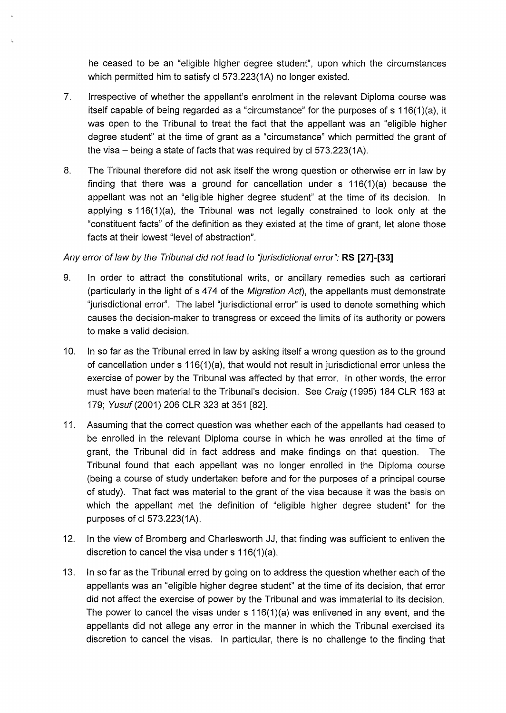he ceased to be an "eligible higher degree student", upon which the circumstances which permitted him to satisfy cl 573.223(1A) no longer existed.

- 7. Irrespective of whether the appellant's enrolment in the relevant Diploma course was itself capable of being regarded as a "circumstance" for the purposes of s 116(1 )(a), it was open to the Tribunal to treat the fact that the appellant was an "eligible higher degree student" at the time of grant as a "circumstance" which permitted the grant of the visa  $-$  being a state of facts that was required by cl 573.223(1A).
- 8. The Tribunal therefore did not ask itself the wrong question or otherwise err in law by finding that there was a ground for cancellation under  $s$  116(1)(a) because the appellant was not an "eligible higher degree student" at the time of its decision. In applying  $s$  116(1)(a), the Tribunal was not legally constrained to look only at the "constituent facts" of the definition as they existed at the time of grant, let alone those facts at their lowest "level of abstraction".

# Any error of law by the Tribunal did not lead to 'Jurisdictional error": **RS [27]-[33]**

- 9. In order to attract the constitutional writs, or ancillary remedies such as certiorari (particularly in the light of s 474 of the Migration Act), the appellants must demonstrate "jurisdictional error". The label "jurisdictional error" is used to denote something which causes the decision-maker to transgress or exceed the limits of its authority or powers to make a valid decision.
- 10. In so far as the Tribunal erred in law by asking itself a wrong question as to the ground of cancellation under s 116(1)(a), that would not result in jurisdictional error unless the exercise of power by the Tribunal was affected by that error. In other words, the error must have been material to the Tribunal's decision. See Craig (1995) 184 CLR 163 at 179; Yusuf (2001) 206 CLR 323 at 351 [82].
- 11. Assuming that the correct question was whether each of the appellants had ceased to be enrolled in the relevant Diploma course in which he was enrolled at the time of grant, the Tribunal did in fact address and make findings on that question. The Tribunal found that each appellant was no longer enrolled in the Diploma course (being a course of study undertaken before and for the purposes of a principal course of study). That fact was material to the grant of the visa because it was the basis on which the appellant met the definition of "eligible higher degree student" for the purposes of cl 573.223(1A).
- 12. In the view of Bromberg and Charlesworth JJ, that finding was sufficient to enliven the discretion to cancel the visa under s 116(1)(a).
- 13. In so far as the Tribunal erred by going on to address the question whether each of the appellants was an "eligible higher degree student" at the time of its decision, that error did not affect the exercise of power by the Tribunal and was immaterial to its decision. The power to cancel the visas under s  $116(1)(a)$  was enlivened in any event, and the appellants did not allege any error in the manner in which the Tribunal exercised its discretion to cancel the visas. In particular, there is no challenge to the finding that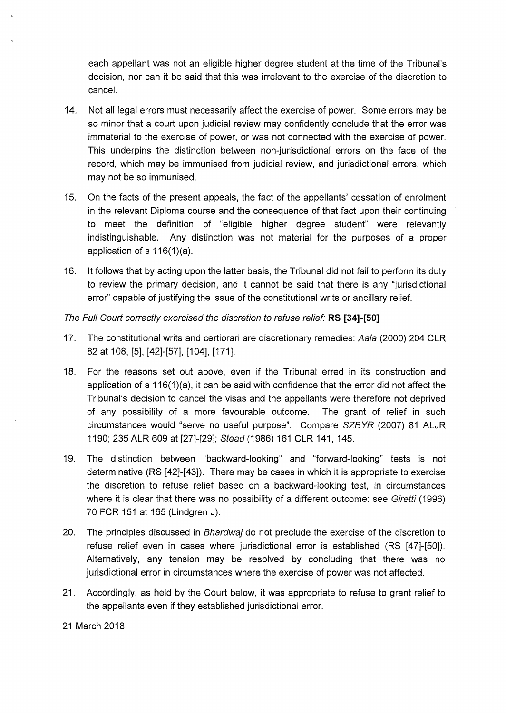each appellant was not an eligible higher degree student at the time of the Tribunal's decision, nor can it be said that this was irrelevant to the exercise of the discretion to cancel.

- 14. Not all legal errors must necessarily affect the exercise of power. Some errors may be so minor that a court upon judicial review may confidently conclude that the error was immaterial to the exercise of power, or was not connected with the exercise of power. This underpins the distinction between non-jurisdictional errors on the face of the record, which may be immunised from judicial review, and jurisdictional errors, which may not be so immunised.
- 15. On the facts of the present appeals, the fact of the appellants' cessation of enrolment in the relevant Diploma course and the consequence of that fact upon their continuing to meet the definition of "eligible higher degree student" were relevantly indistinguishable. Any distinction was not material for the purposes of a proper application of s 116(1)(a).
- 16. lt follows that by acting upon the latter basis, the Tribunal did not fail to perform its duty to review the primary decision, and it cannot be said that there is any "jurisdictional error'' capable of justifying the issue of the constitutional writs or ancillary relief.

# The Full Court correctly exercised the discretion to refuse relief" **RS [34)-[50)**

- 17. The constitutional writs and certiorari are discretionary remedies: Aala (2000) 204 CLR 82 at 108, [5], [42]-[57], [104], [171].
- 18. For the reasons set out above, even if the Tribunal erred in its construction and application of s 116(1)(a), it can be said with confidence that the error did not affect the Tribunal's decision to cancel the visas and the appellants were therefore not deprived of any possibility of a more favourable outcome. The grant of relief in such circumstances would "serve no useful purpose". Compare SZBYR (2007) 81 ALJR 1190; 235 ALR 609 at [27]-[29]; Stead (1986) 161 CLR 141, 145.
- 19. The distinction between "backward-looking" and "forward-looking" tests is not determinative (RS [42]-[43]). There may be cases in which it is appropriate to exercise the discretion to refuse relief based on a backward-looking test, in circumstances where it is clear that there was no possibility of a different outcome: see Giretti (1996) 70 FCR 151 at 165 (Lindgren J).
- 20. The principles discussed in Bhardwaj do not preclude the exercise of the discretion to refuse relief even in cases where jurisdictional error is established (RS [47]-[50]). Alternatively, any tension may be resolved by concluding that there was no jurisdictional error in circumstances where the exercise of power was not affected.
- 21. Accordingly, as held by the Court below, it was appropriate to refuse to grant relief to the appellants even if they established jurisdictional error.

21 March 2018